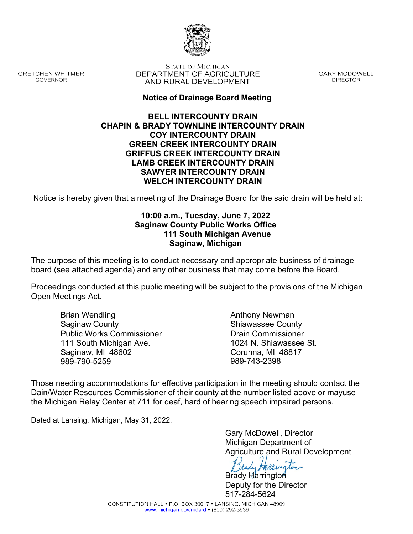

**GRETCHEN WHITMER** GOVERNOR

**STATE OF MICHIGAN** DEPARTMENT OF AGRICULTURE AND RURAL DEVELOPMENT

**GARY MCDOWELL DIRECTOR** 

## **Notice of Drainage Board Meeting**

#### **BELL INTERCOUNTY DRAIN CHAPIN & BRADY TOWNLINE INTERCOUNTY DRAIN COY INTERCOUNTY DRAIN GREEN CREEK INTERCOUNTY DRAIN GRIFFUS CREEK INTERCOUNTY DRAIN LAMB CREEK INTERCOUNTY DRAIN SAWYER INTERCOUNTY DRAIN WELCH INTERCOUNTY DRAIN**

Notice is hereby given that a meeting of the Drainage Board for the said drain will be held at:

## **10:00 a.m., Tuesday, June 7, 2022 Saginaw County Public Works Office 111 South Michigan Avenue Saginaw, Michigan**

The purpose of this meeting is to conduct necessary and appropriate business of drainage board (see attached agenda) and any other business that may come before the Board.

Proceedings conducted at this public meeting will be subject to the provisions of the Michigan Open Meetings Act.

Brian Wendling Saginaw County Public Works Commissioner 111 South Michigan Ave. Saginaw, MI 48602 989-790-5259

Anthony Newman Shiawassee County Drain Commissioner 1024 N. Shiawassee St. Corunna, MI 48817 989-743-2398

Those needing accommodations for effective participation in the meeting should contact the Dain/Water Resources Commissioner of their county at the number listed above or mayuse the Michigan Relay Center at 711 for deaf, hard of hearing speech impaired persons.

Dated at Lansing, Michigan, May 31, 2022.

Gary McDowell, Director Michigan Department of Agriculture and Rural Development

Brady Harrington Deputy for the Director 517-284-5624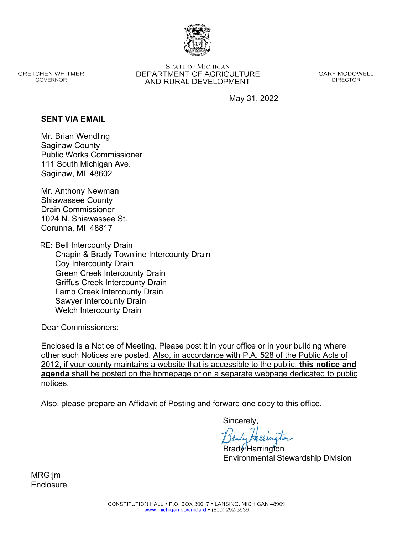

**GRETCHEN WHITMER** GOVERNOR

**STATE OF MICHIGAN** DEPARTMENT OF AGRICULTURE AND RURAL DEVELOPMENT

**GARY MCDOWELL DIRECTOR** 

May 31, 2022

### **SENT VIA EMAIL**

Mr. Brian Wendling Saginaw County Public Works Commissioner 111 South Michigan Ave. Saginaw, MI 48602

Mr. Anthony Newman Shiawassee County Drain Commissioner 1024 N. Shiawassee St. Corunna, MI 48817

RE: Bell Intercounty Drain Chapin & Brady Townline Intercounty Drain Coy Intercounty Drain Green Creek Intercounty Drain Griffus Creek Intercounty Drain Lamb Creek Intercounty Drain Sawyer Intercounty Drain Welch Intercounty Drain

Dear Commissioners:

Enclosed is a Notice of Meeting. Please post it in your office or in your building where other such Notices are posted. Also, in accordance with P.A. 528 of the Public Acts of 2012, if your county maintains a website that is accessible to the public, **this notice and agenda** shall be posted on the homepage or on a separate webpage dedicated to public notices.

Also, please prepare an Affidavit of Posting and forward one copy to this office.

Sincerely,

Brady Harrington Environmental Stewardship Division

MRG:jm **Enclosure**